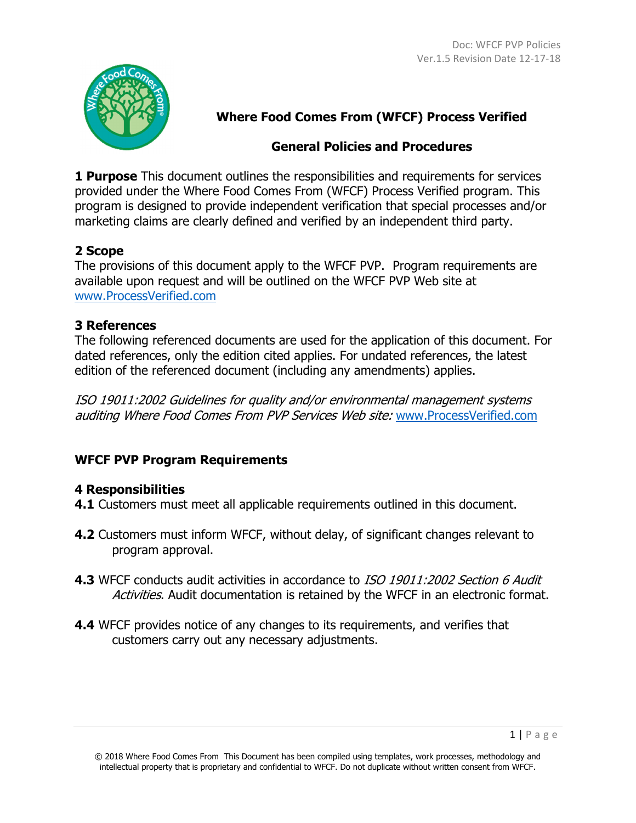

# **Where Food Comes From (WFCF) Process Verified**

### **General Policies and Procedures**

**1 Purpose** This document outlines the responsibilities and requirements for services provided under the Where Food Comes From (WFCF) Process Verified program. This program is designed to provide independent verification that special processes and/or marketing claims are clearly defined and verified by an independent third party.

## **2 Scope**

The provisions of this document apply to the WFCF PVP. Program requirements are available upon request and will be outlined on the WFCF PVP Web site at www.ProcessVerified.com

## **3 References**

The following referenced documents are used for the application of this document. For dated references, only the edition cited applies. For undated references, the latest edition of the referenced document (including any amendments) applies.

ISO 19011:2002 Guidelines for quality and/or environmental management systems auditing Where Food Comes From PVP Services Web site: www.ProcessVerified.com

# **WFCF PVP Program Requirements**

### **4 Responsibilities**

- **4.1** Customers must meet all applicable requirements outlined in this document.
- **4.2** Customers must inform WFCF, without delay, of significant changes relevant to program approval.
- **4.3** WFCF conducts audit activities in accordance to ISO 19011:2002 Section 6 Audit Activities. Audit documentation is retained by the WFCF in an electronic format.
- **4.4** WFCF provides notice of any changes to its requirements, and verifies that customers carry out any necessary adjustments.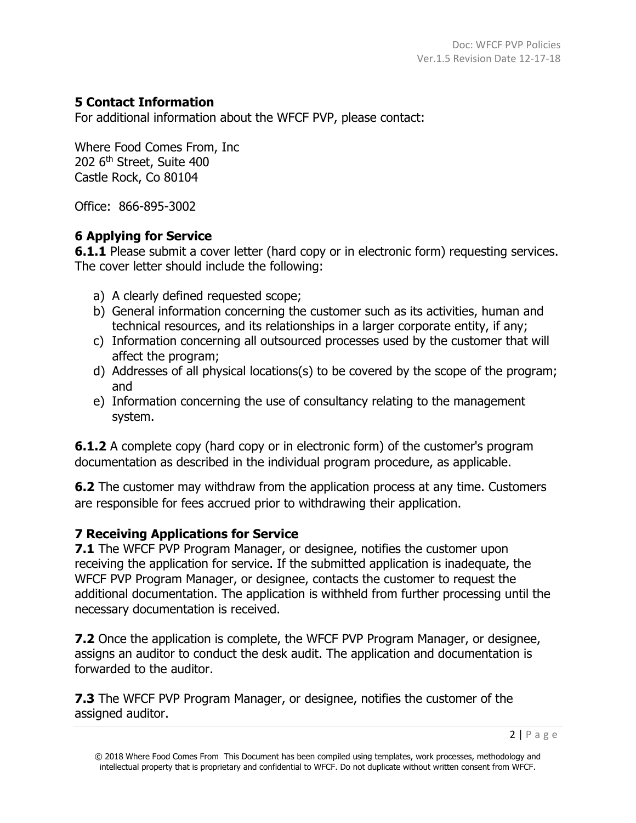### **5 Contact Information**

For additional information about the WFCF PVP, please contact:

Where Food Comes From, Inc 202 6<sup>th</sup> Street, Suite 400 Castle Rock, Co 80104

Office: 866-895-3002

### **6 Applying for Service**

**6.1.1** Please submit a cover letter (hard copy or in electronic form) requesting services. The cover letter should include the following:

- a) A clearly defined requested scope;
- b) General information concerning the customer such as its activities, human and technical resources, and its relationships in a larger corporate entity, if any;
- c) Information concerning all outsourced processes used by the customer that will affect the program;
- d) Addresses of all physical locations(s) to be covered by the scope of the program; and
- e) Information concerning the use of consultancy relating to the management system.

**6.1.2** A complete copy (hard copy or in electronic form) of the customer's program documentation as described in the individual program procedure, as applicable.

**6.2** The customer may withdraw from the application process at any time. Customers are responsible for fees accrued prior to withdrawing their application.

### **7 Receiving Applications for Service**

**7.1** The WFCF PVP Program Manager, or designee, notifies the customer upon receiving the application for service. If the submitted application is inadequate, the WFCF PVP Program Manager, or designee, contacts the customer to request the additional documentation. The application is withheld from further processing until the necessary documentation is received.

**7.2** Once the application is complete, the WFCF PVP Program Manager, or designee, assigns an auditor to conduct the desk audit. The application and documentation is forwarded to the auditor.

**7.3** The WFCF PVP Program Manager, or designee, notifies the customer of the assigned auditor.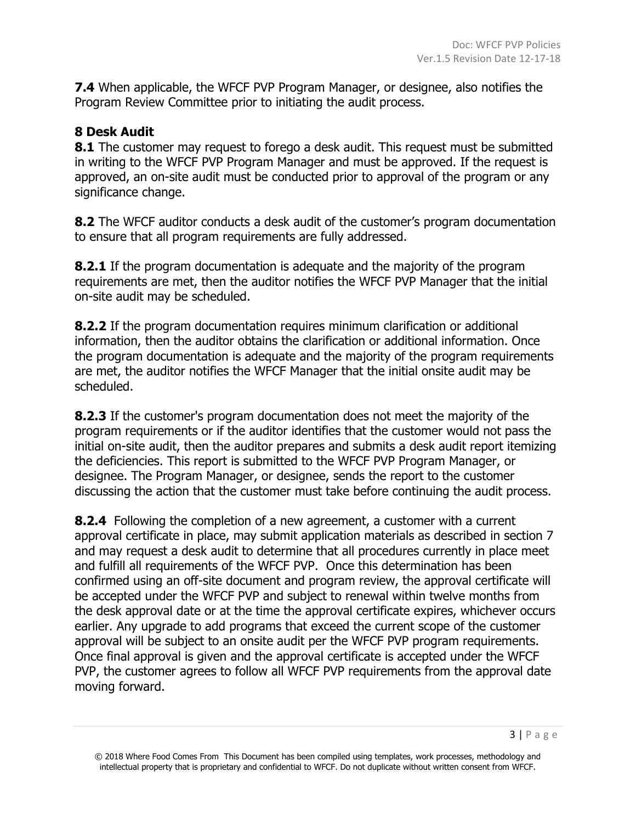**7.4** When applicable, the WFCF PVP Program Manager, or designee, also notifies the Program Review Committee prior to initiating the audit process.

#### **8 Desk Audit**

**8.1** The customer may request to forego a desk audit. This request must be submitted in writing to the WFCF PVP Program Manager and must be approved. If the request is approved, an on-site audit must be conducted prior to approval of the program or any significance change.

**8.2** The WFCF auditor conducts a desk audit of the customer's program documentation to ensure that all program requirements are fully addressed.

**8.2.1** If the program documentation is adequate and the majority of the program requirements are met, then the auditor notifies the WFCF PVP Manager that the initial on-site audit may be scheduled.

**8.2.2** If the program documentation requires minimum clarification or additional information, then the auditor obtains the clarification or additional information. Once the program documentation is adequate and the majority of the program requirements are met, the auditor notifies the WFCF Manager that the initial onsite audit may be scheduled.

**8.2.3** If the customer's program documentation does not meet the majority of the program requirements or if the auditor identifies that the customer would not pass the initial on-site audit, then the auditor prepares and submits a desk audit report itemizing the deficiencies. This report is submitted to the WFCF PVP Program Manager, or designee. The Program Manager, or designee, sends the report to the customer discussing the action that the customer must take before continuing the audit process.

**8.2.4** Following the completion of a new agreement, a customer with a current approval certificate in place, may submit application materials as described in section 7 and may request a desk audit to determine that all procedures currently in place meet and fulfill all requirements of the WFCF PVP. Once this determination has been confirmed using an off-site document and program review, the approval certificate will be accepted under the WFCF PVP and subject to renewal within twelve months from the desk approval date or at the time the approval certificate expires, whichever occurs earlier. Any upgrade to add programs that exceed the current scope of the customer approval will be subject to an onsite audit per the WFCF PVP program requirements. Once final approval is given and the approval certificate is accepted under the WFCF PVP, the customer agrees to follow all WFCF PVP requirements from the approval date moving forward.

<sup>© 2018</sup> Where Food Comes From This Document has been compiled using templates, work processes, methodology and intellectual property that is proprietary and confidential to WFCF. Do not duplicate without written consent from WFCF.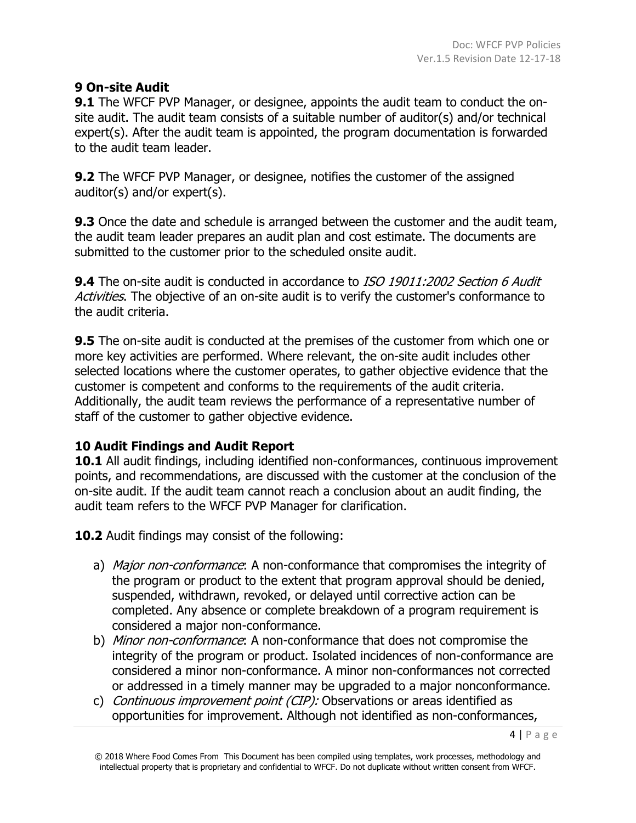### **9 On-site Audit**

**9.1** The WFCF PVP Manager, or designee, appoints the audit team to conduct the onsite audit. The audit team consists of a suitable number of auditor(s) and/or technical expert(s). After the audit team is appointed, the program documentation is forwarded to the audit team leader.

**9.2** The WFCF PVP Manager, or designee, notifies the customer of the assigned auditor(s) and/or expert(s).

**9.3** Once the date and schedule is arranged between the customer and the audit team, the audit team leader prepares an audit plan and cost estimate. The documents are submitted to the customer prior to the scheduled onsite audit.

**9.4** The on-site audit is conducted in accordance to ISO 19011:2002 Section 6 Audit Activities. The objective of an on-site audit is to verify the customer's conformance to the audit criteria.

**9.5** The on-site audit is conducted at the premises of the customer from which one or more key activities are performed. Where relevant, the on-site audit includes other selected locations where the customer operates, to gather objective evidence that the customer is competent and conforms to the requirements of the audit criteria. Additionally, the audit team reviews the performance of a representative number of staff of the customer to gather objective evidence.

#### **10 Audit Findings and Audit Report**

**10.1** All audit findings, including identified non-conformances, continuous improvement points, and recommendations, are discussed with the customer at the conclusion of the on-site audit. If the audit team cannot reach a conclusion about an audit finding, the audit team refers to the WFCF PVP Manager for clarification.

**10.2** Audit findings may consist of the following:

- a) Major non-conformance: A non-conformance that compromises the integrity of the program or product to the extent that program approval should be denied, suspended, withdrawn, revoked, or delayed until corrective action can be completed. Any absence or complete breakdown of a program requirement is considered a major non-conformance.
- b) *Minor non-conformance*: A non-conformance that does not compromise the integrity of the program or product. Isolated incidences of non-conformance are considered a minor non-conformance. A minor non-conformances not corrected or addressed in a timely manner may be upgraded to a major nonconformance.
- c) Continuous improvement point (CIP): Observations or areas identified as opportunities for improvement. Although not identified as non-conformances,

<sup>© 2018</sup> Where Food Comes From This Document has been compiled using templates, work processes, methodology and intellectual property that is proprietary and confidential to WFCF. Do not duplicate without written consent from WFCF.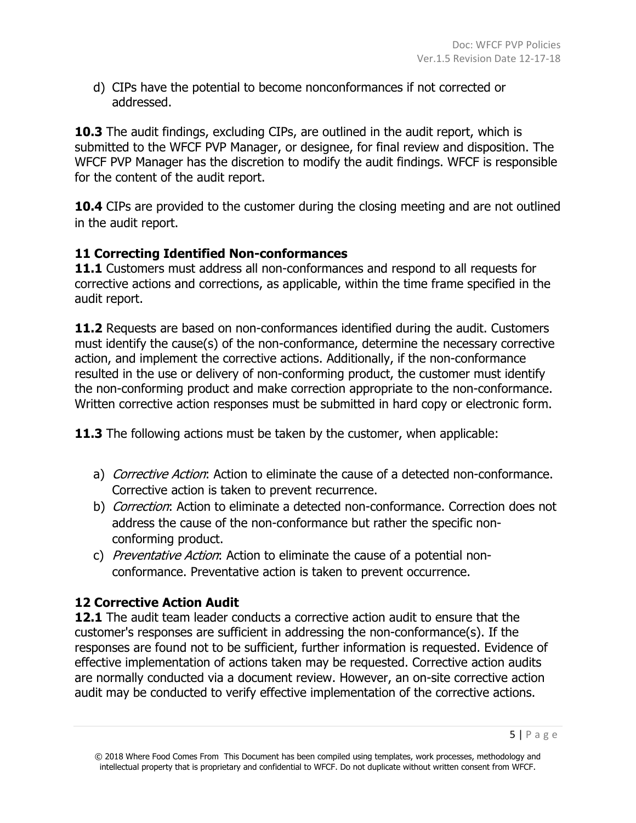d) CIPs have the potential to become nonconformances if not corrected or addressed.

**10.3** The audit findings, excluding CIPs, are outlined in the audit report, which is submitted to the WFCF PVP Manager, or designee, for final review and disposition. The WFCF PVP Manager has the discretion to modify the audit findings. WFCF is responsible for the content of the audit report.

**10.4** CIPs are provided to the customer during the closing meeting and are not outlined in the audit report.

### **11 Correcting Identified Non-conformances**

**11.1** Customers must address all non-conformances and respond to all requests for corrective actions and corrections, as applicable, within the time frame specified in the audit report.

**11.2** Requests are based on non-conformances identified during the audit. Customers must identify the cause(s) of the non-conformance, determine the necessary corrective action, and implement the corrective actions. Additionally, if the non-conformance resulted in the use or delivery of non-conforming product, the customer must identify the non-conforming product and make correction appropriate to the non-conformance. Written corrective action responses must be submitted in hard copy or electronic form.

**11.3** The following actions must be taken by the customer, when applicable:

- a) Corrective Action: Action to eliminate the cause of a detected non-conformance. Corrective action is taken to prevent recurrence.
- b) *Correction*: Action to eliminate a detected non-conformance. Correction does not address the cause of the non-conformance but rather the specific nonconforming product.
- c) Preventative Action: Action to eliminate the cause of a potential nonconformance. Preventative action is taken to prevent occurrence.

### **12 Corrective Action Audit**

**12.1** The audit team leader conducts a corrective action audit to ensure that the customer's responses are sufficient in addressing the non-conformance(s). If the responses are found not to be sufficient, further information is requested. Evidence of effective implementation of actions taken may be requested. Corrective action audits are normally conducted via a document review. However, an on-site corrective action audit may be conducted to verify effective implementation of the corrective actions.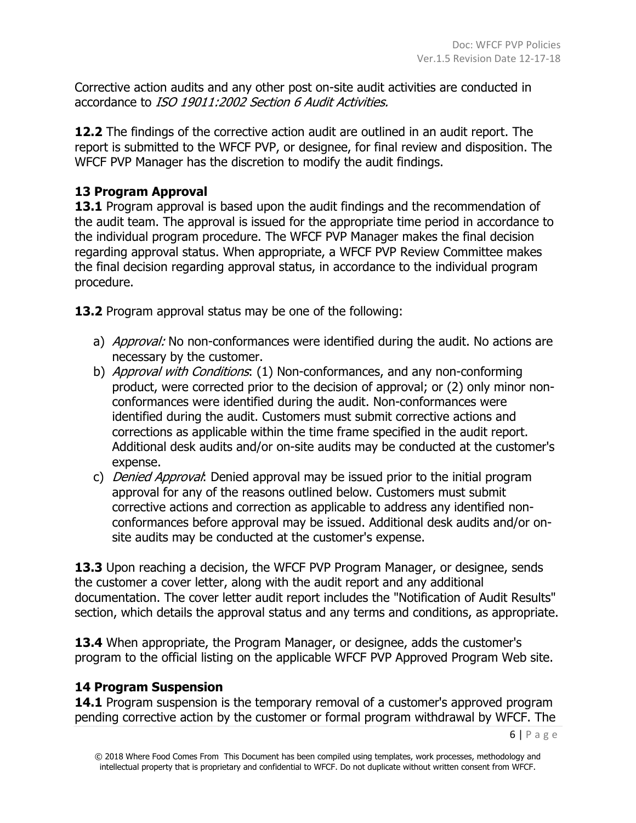Corrective action audits and any other post on-site audit activities are conducted in accordance to ISO 19011:2002 Section 6 Audit Activities.

**12.2** The findings of the corrective action audit are outlined in an audit report. The report is submitted to the WFCF PVP, or designee, for final review and disposition. The WFCF PVP Manager has the discretion to modify the audit findings.

#### **13 Program Approval**

**13.1** Program approval is based upon the audit findings and the recommendation of the audit team. The approval is issued for the appropriate time period in accordance to the individual program procedure. The WFCF PVP Manager makes the final decision regarding approval status. When appropriate, a WFCF PVP Review Committee makes the final decision regarding approval status, in accordance to the individual program procedure.

**13.2** Program approval status may be one of the following:

- a) *Approval:* No non-conformances were identified during the audit. No actions are necessary by the customer.
- b) Approval with Conditions: (1) Non-conformances, and any non-conforming product, were corrected prior to the decision of approval; or (2) only minor nonconformances were identified during the audit. Non-conformances were identified during the audit. Customers must submit corrective actions and corrections as applicable within the time frame specified in the audit report. Additional desk audits and/or on-site audits may be conducted at the customer's expense.
- c) *Denied Approval*: Denied approval may be issued prior to the initial program approval for any of the reasons outlined below. Customers must submit corrective actions and correction as applicable to address any identified nonconformances before approval may be issued. Additional desk audits and/or onsite audits may be conducted at the customer's expense.

**13.3** Upon reaching a decision, the WFCF PVP Program Manager, or designee, sends the customer a cover letter, along with the audit report and any additional documentation. The cover letter audit report includes the "Notification of Audit Results" section, which details the approval status and any terms and conditions, as appropriate.

**13.4** When appropriate, the Program Manager, or designee, adds the customer's program to the official listing on the applicable WFCF PVP Approved Program Web site.

#### **14 Program Suspension**

**14.1** Program suspension is the temporary removal of a customer's approved program pending corrective action by the customer or formal program withdrawal by WFCF. The

6 | Page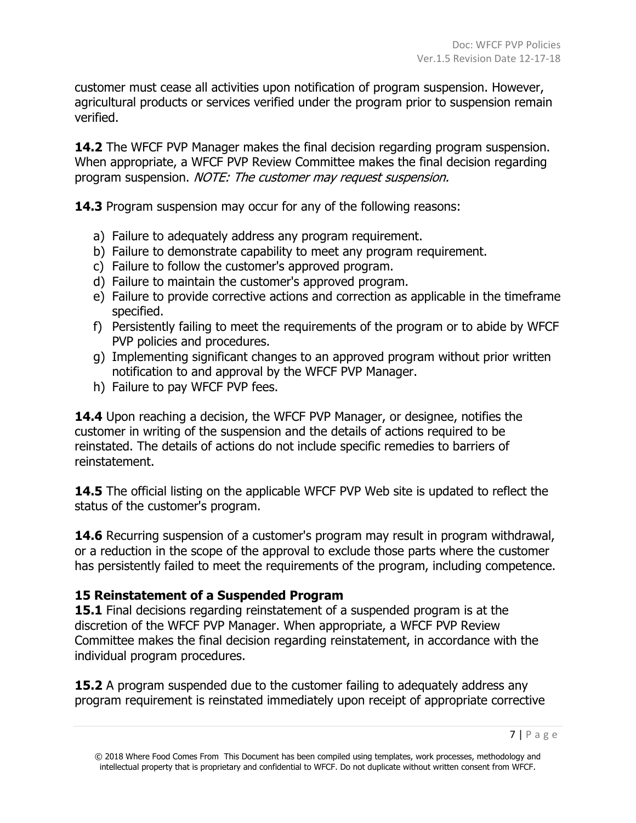customer must cease all activities upon notification of program suspension. However, agricultural products or services verified under the program prior to suspension remain verified.

**14.2** The WFCF PVP Manager makes the final decision regarding program suspension. When appropriate, a WFCF PVP Review Committee makes the final decision regarding program suspension. NOTE: The customer may request suspension.

**14.3** Program suspension may occur for any of the following reasons:

- a) Failure to adequately address any program requirement.
- b) Failure to demonstrate capability to meet any program requirement.
- c) Failure to follow the customer's approved program.
- d) Failure to maintain the customer's approved program.
- e) Failure to provide corrective actions and correction as applicable in the timeframe specified.
- f) Persistently failing to meet the requirements of the program or to abide by WFCF PVP policies and procedures.
- g) Implementing significant changes to an approved program without prior written notification to and approval by the WFCF PVP Manager.
- h) Failure to pay WFCF PVP fees.

**14.4** Upon reaching a decision, the WFCF PVP Manager, or designee, notifies the customer in writing of the suspension and the details of actions required to be reinstated. The details of actions do not include specific remedies to barriers of reinstatement.

**14.5** The official listing on the applicable WFCF PVP Web site is updated to reflect the status of the customer's program.

**14.6** Recurring suspension of a customer's program may result in program withdrawal, or a reduction in the scope of the approval to exclude those parts where the customer has persistently failed to meet the requirements of the program, including competence.

#### **15 Reinstatement of a Suspended Program**

**15.1** Final decisions regarding reinstatement of a suspended program is at the discretion of the WFCF PVP Manager. When appropriate, a WFCF PVP Review Committee makes the final decision regarding reinstatement, in accordance with the individual program procedures.

**15.2** A program suspended due to the customer failing to adequately address any program requirement is reinstated immediately upon receipt of appropriate corrective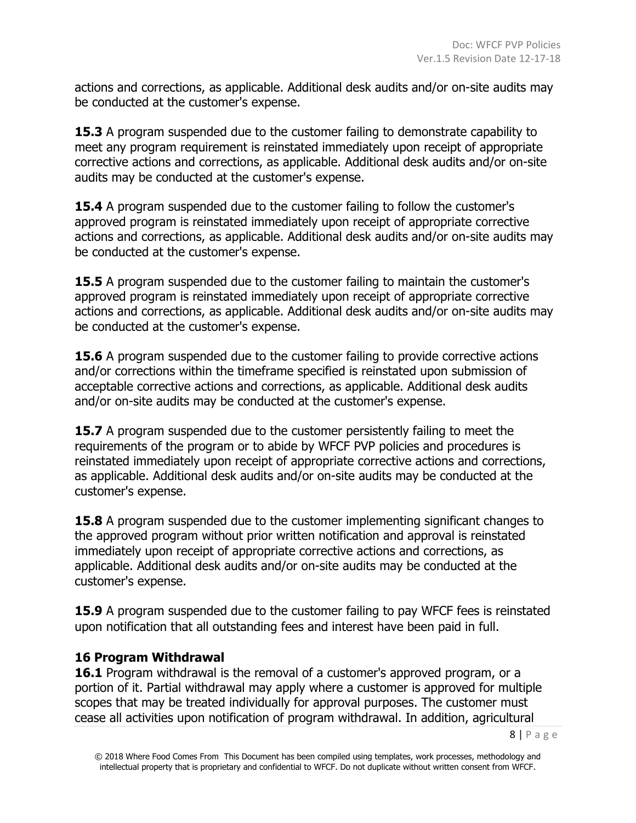actions and corrections, as applicable. Additional desk audits and/or on-site audits may be conducted at the customer's expense.

**15.3** A program suspended due to the customer failing to demonstrate capability to meet any program requirement is reinstated immediately upon receipt of appropriate corrective actions and corrections, as applicable. Additional desk audits and/or on-site audits may be conducted at the customer's expense.

**15.4** A program suspended due to the customer failing to follow the customer's approved program is reinstated immediately upon receipt of appropriate corrective actions and corrections, as applicable. Additional desk audits and/or on-site audits may be conducted at the customer's expense.

**15.5** A program suspended due to the customer failing to maintain the customer's approved program is reinstated immediately upon receipt of appropriate corrective actions and corrections, as applicable. Additional desk audits and/or on-site audits may be conducted at the customer's expense.

**15.6** A program suspended due to the customer failing to provide corrective actions and/or corrections within the timeframe specified is reinstated upon submission of acceptable corrective actions and corrections, as applicable. Additional desk audits and/or on-site audits may be conducted at the customer's expense.

**15.7** A program suspended due to the customer persistently failing to meet the requirements of the program or to abide by WFCF PVP policies and procedures is reinstated immediately upon receipt of appropriate corrective actions and corrections, as applicable. Additional desk audits and/or on-site audits may be conducted at the customer's expense.

**15.8** A program suspended due to the customer implementing significant changes to the approved program without prior written notification and approval is reinstated immediately upon receipt of appropriate corrective actions and corrections, as applicable. Additional desk audits and/or on-site audits may be conducted at the customer's expense.

**15.9** A program suspended due to the customer failing to pay WFCF fees is reinstated upon notification that all outstanding fees and interest have been paid in full.

#### **16 Program Withdrawal**

**16.1** Program withdrawal is the removal of a customer's approved program, or a portion of it. Partial withdrawal may apply where a customer is approved for multiple scopes that may be treated individually for approval purposes. The customer must cease all activities upon notification of program withdrawal. In addition, agricultural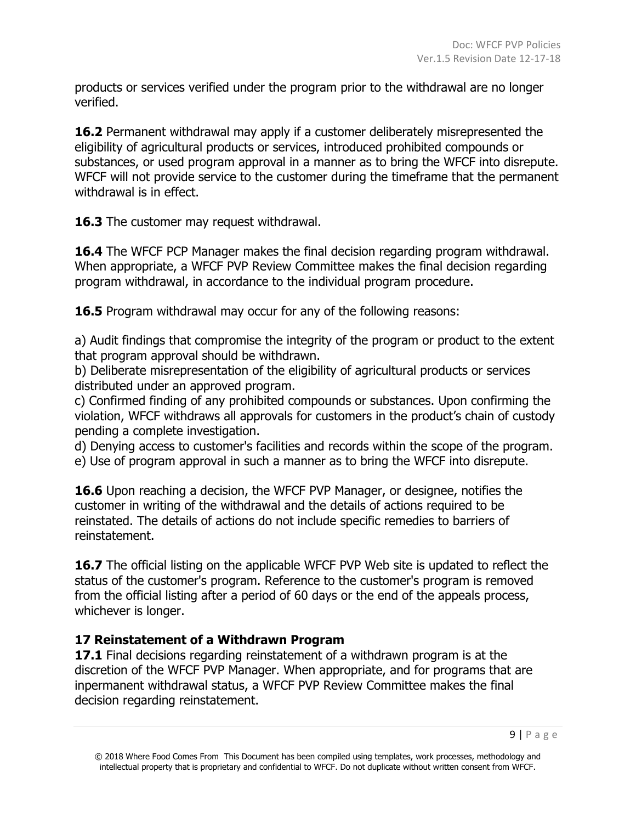products or services verified under the program prior to the withdrawal are no longer verified.

**16.2** Permanent withdrawal may apply if a customer deliberately misrepresented the eligibility of agricultural products or services, introduced prohibited compounds or substances, or used program approval in a manner as to bring the WFCF into disrepute. WFCF will not provide service to the customer during the timeframe that the permanent withdrawal is in effect.

**16.3** The customer may request withdrawal.

**16.4** The WFCF PCP Manager makes the final decision regarding program withdrawal. When appropriate, a WFCF PVP Review Committee makes the final decision regarding program withdrawal, in accordance to the individual program procedure.

**16.5** Program withdrawal may occur for any of the following reasons:

a) Audit findings that compromise the integrity of the program or product to the extent that program approval should be withdrawn.

b) Deliberate misrepresentation of the eligibility of agricultural products or services distributed under an approved program.

c) Confirmed finding of any prohibited compounds or substances. Upon confirming the violation, WFCF withdraws all approvals for customers in the product's chain of custody pending a complete investigation.

d) Denying access to customer's facilities and records within the scope of the program. e) Use of program approval in such a manner as to bring the WFCF into disrepute.

**16.6** Upon reaching a decision, the WFCF PVP Manager, or designee, notifies the customer in writing of the withdrawal and the details of actions required to be reinstated. The details of actions do not include specific remedies to barriers of reinstatement.

16.7 The official listing on the applicable WFCF PVP Web site is updated to reflect the status of the customer's program. Reference to the customer's program is removed from the official listing after a period of 60 days or the end of the appeals process, whichever is longer.

#### **17 Reinstatement of a Withdrawn Program**

**17.1** Final decisions regarding reinstatement of a withdrawn program is at the discretion of the WFCF PVP Manager. When appropriate, and for programs that are inpermanent withdrawal status, a WFCF PVP Review Committee makes the final decision regarding reinstatement.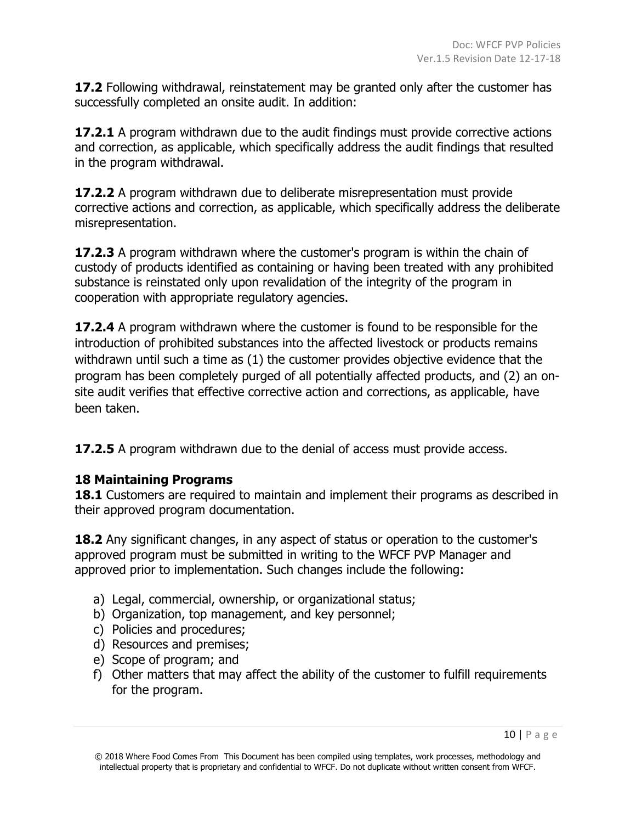**17.2** Following withdrawal, reinstatement may be granted only after the customer has successfully completed an onsite audit. In addition:

**17.2.1** A program withdrawn due to the audit findings must provide corrective actions and correction, as applicable, which specifically address the audit findings that resulted in the program withdrawal.

**17.2.2** A program withdrawn due to deliberate misrepresentation must provide corrective actions and correction, as applicable, which specifically address the deliberate misrepresentation.

**17.2.3** A program withdrawn where the customer's program is within the chain of custody of products identified as containing or having been treated with any prohibited substance is reinstated only upon revalidation of the integrity of the program in cooperation with appropriate regulatory agencies.

**17.2.4** A program withdrawn where the customer is found to be responsible for the introduction of prohibited substances into the affected livestock or products remains withdrawn until such a time as (1) the customer provides objective evidence that the program has been completely purged of all potentially affected products, and (2) an onsite audit verifies that effective corrective action and corrections, as applicable, have been taken.

**17.2.5** A program withdrawn due to the denial of access must provide access.

#### **18 Maintaining Programs**

**18.1** Customers are required to maintain and implement their programs as described in their approved program documentation.

**18.2** Any significant changes, in any aspect of status or operation to the customer's approved program must be submitted in writing to the WFCF PVP Manager and approved prior to implementation. Such changes include the following:

- a) Legal, commercial, ownership, or organizational status;
- b) Organization, top management, and key personnel;
- c) Policies and procedures;
- d) Resources and premises;
- e) Scope of program; and
- f) Other matters that may affect the ability of the customer to fulfill requirements for the program.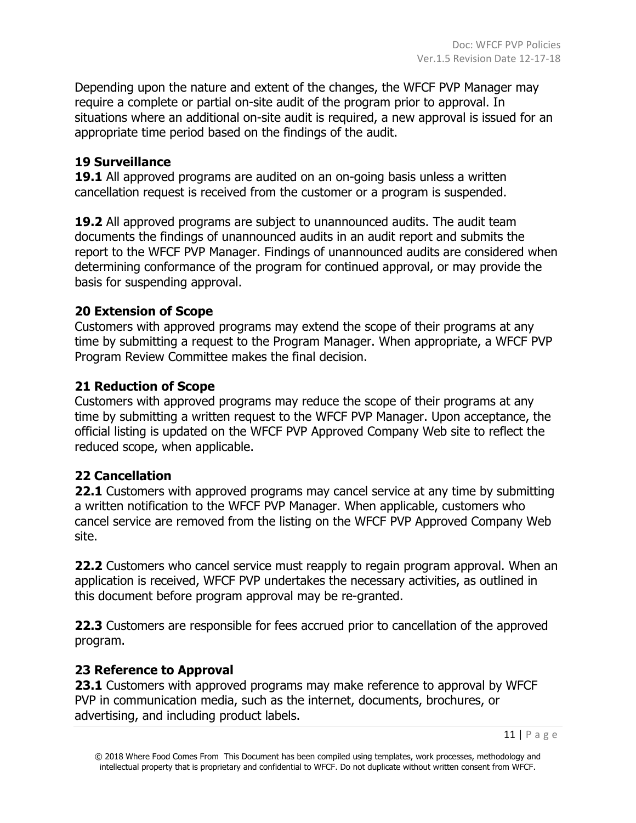Depending upon the nature and extent of the changes, the WFCF PVP Manager may require a complete or partial on-site audit of the program prior to approval. In situations where an additional on-site audit is required, a new approval is issued for an appropriate time period based on the findings of the audit.

#### **19 Surveillance**

**19.1** All approved programs are audited on an on-going basis unless a written cancellation request is received from the customer or a program is suspended.

**19.2** All approved programs are subject to unannounced audits. The audit team documents the findings of unannounced audits in an audit report and submits the report to the WFCF PVP Manager. Findings of unannounced audits are considered when determining conformance of the program for continued approval, or may provide the basis for suspending approval.

#### **20 Extension of Scope**

Customers with approved programs may extend the scope of their programs at any time by submitting a request to the Program Manager. When appropriate, a WFCF PVP Program Review Committee makes the final decision.

#### **21 Reduction of Scope**

Customers with approved programs may reduce the scope of their programs at any time by submitting a written request to the WFCF PVP Manager. Upon acceptance, the official listing is updated on the WFCF PVP Approved Company Web site to reflect the reduced scope, when applicable.

#### **22 Cancellation**

**22.1** Customers with approved programs may cancel service at any time by submitting a written notification to the WFCF PVP Manager. When applicable, customers who cancel service are removed from the listing on the WFCF PVP Approved Company Web site.

**22.2** Customers who cancel service must reapply to regain program approval. When an application is received, WFCF PVP undertakes the necessary activities, as outlined in this document before program approval may be re-granted.

**22.3** Customers are responsible for fees accrued prior to cancellation of the approved program.

#### **23 Reference to Approval**

**23.1** Customers with approved programs may make reference to approval by WFCF PVP in communication media, such as the internet, documents, brochures, or advertising, and including product labels.